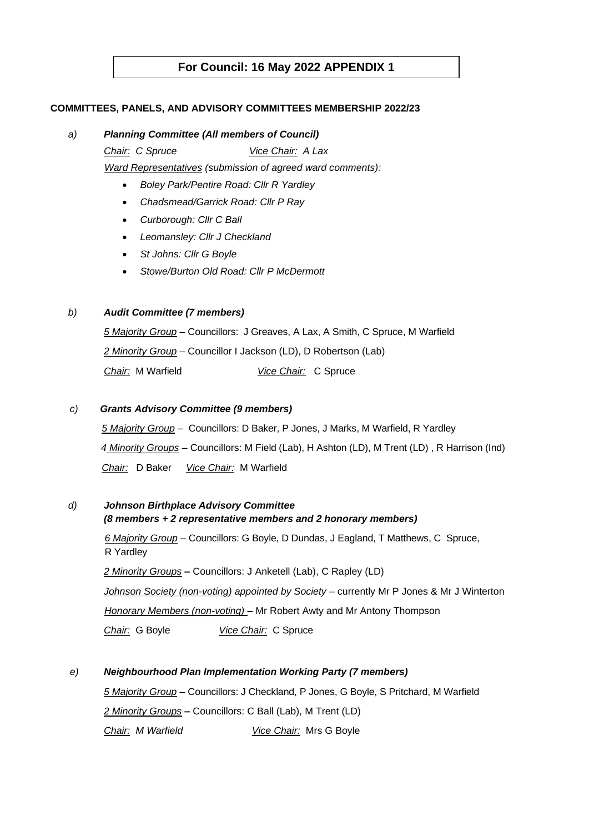# **For Council: 16 May 2022 APPENDIX 1**

## **COMMITTEES, PANELS, AND ADVISORY COMMITTEES MEMBERSHIP 2022/23**

#### *a) Planning Committee (All members of Council)*

*Chair: C Spruce Vice Chair: A Lax*

 *Ward Representatives (submission of agreed ward comments):*

- *Boley Park/Pentire Road: Cllr R Yardley*
- *Chadsmead/Garrick Road: Cllr P Ray*
- *Curborough: Cllr C Ball*
- *Leomansley: Cllr J Checkland*
- *St Johns: Cllr G Boyle*
- *Stowe/Burton Old Road: Cllr P McDermott*

## *b) Audit Committee (7 members)*

*5 Majority Group –* Councillors: J Greaves, A Lax, A Smith, C Spruce, M Warfield *2 Minority Group –* Councillor I Jackson (LD), D Robertson (Lab) *Chair:* M Warfield *Vice Chair:* C Spruce

#### *c) Grants Advisory Committee (9 members)*

*5 Majority Group –* Councillors: D Baker, P Jones, J Marks, M Warfield, R Yardley  *4 Minority Groups –* Councillors: M Field (Lab), H Ashton (LD), M Trent (LD) , R Harrison (Ind)  *Chair:* D Baker *Vice Chair:* M Warfield

# *d) Johnson Birthplace Advisory Committee*

## *(8 members + 2 representative members and 2 honorary members)*

*6 Majority Group –* Councillors: G Boyle, D Dundas, J Eagland, T Matthews, C Spruce, R Yardley

*2 Minority Groups –* Councillors: J Anketell (Lab), C Rapley (LD)

*Johnson Society (non-voting) appointed by Society –* currently Mr P Jones & Mr J Winterton  *Honorary Members (non-voting) –* Mr Robert Awty and Mr Antony Thompson

*Chair:* G Boyle *Vice Chair:* C Spruce

## *e) Neighbourhood Plan Implementation Working Party (7 members)*

*5 Majority Group –* Councillors: J Checkland, P Jones, G Boyle, S Pritchard, M Warfield *2 Minority Groups –* Councillors: C Ball (Lab), M Trent (LD) *Chair: M Warfield Vice Chair:* Mrs G Boyle